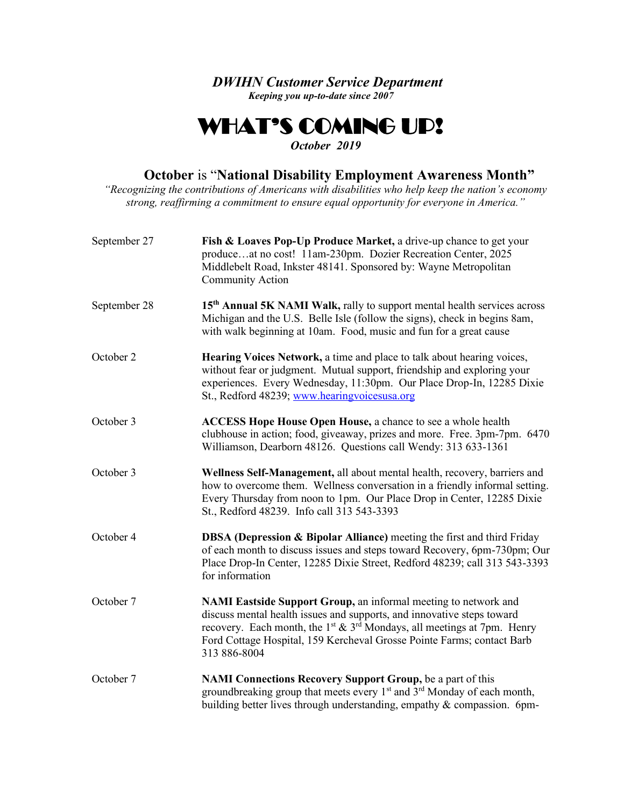*DWIHN Customer Service Department Keeping you up-to-date since 2007*

## WHAT'S COMING UP!  *October 2019*

## **October** is "**National Disability Employment Awareness Month"**

*"Recognizing the contributions of Americans with disabilities who help keep the nation's economy strong, reaffirming a commitment to ensure equal opportunity for everyone in America."*

| September 27 | Fish & Loaves Pop-Up Produce Market, a drive-up chance to get your<br>produceat no cost! 11am-230pm. Dozier Recreation Center, 2025<br>Middlebelt Road, Inkster 48141. Sponsored by: Wayne Metropolitan<br>Community Action                                                                                                            |
|--------------|----------------------------------------------------------------------------------------------------------------------------------------------------------------------------------------------------------------------------------------------------------------------------------------------------------------------------------------|
| September 28 | 15 <sup>th</sup> Annual 5K NAMI Walk, rally to support mental health services across<br>Michigan and the U.S. Belle Isle (follow the signs), check in begins 8am,<br>with walk beginning at 10am. Food, music and fun for a great cause                                                                                                |
| October 2    | Hearing Voices Network, a time and place to talk about hearing voices,<br>without fear or judgment. Mutual support, friendship and exploring your<br>experiences. Every Wednesday, 11:30pm. Our Place Drop-In, 12285 Dixie<br>St., Redford 48239; www.hearingvoicesusa.org                                                             |
| October 3    | <b>ACCESS Hope House Open House, a chance to see a whole health</b><br>clubhouse in action; food, giveaway, prizes and more. Free. 3pm-7pm. 6470<br>Williamson, Dearborn 48126. Questions call Wendy: 313 633-1361                                                                                                                     |
| October 3    | Wellness Self-Management, all about mental health, recovery, barriers and<br>how to overcome them. Wellness conversation in a friendly informal setting.<br>Every Thursday from noon to 1pm. Our Place Drop in Center, 12285 Dixie<br>St., Redford 48239. Info call 313 543-3393                                                       |
| October 4    | <b>DBSA (Depression &amp; Bipolar Alliance)</b> meeting the first and third Friday<br>of each month to discuss issues and steps toward Recovery, 6pm-730pm; Our<br>Place Drop-In Center, 12285 Dixie Street, Redford 48239; call 313 543-3393<br>for information                                                                       |
| October 7    | NAMI Eastside Support Group, an informal meeting to network and<br>discuss mental health issues and supports, and innovative steps toward<br>recovery. Each month, the 1 <sup>st</sup> & 3 <sup>rd</sup> Mondays, all meetings at 7pm. Henry<br>Ford Cottage Hospital, 159 Kercheval Grosse Pointe Farms; contact Barb<br>313 886-8004 |
| October 7    | <b>NAMI Connections Recovery Support Group, be a part of this</b><br>groundbreaking group that meets every 1 <sup>st</sup> and 3 <sup>rd</sup> Monday of each month,<br>building better lives through understanding, empathy & compassion. 6pm-                                                                                        |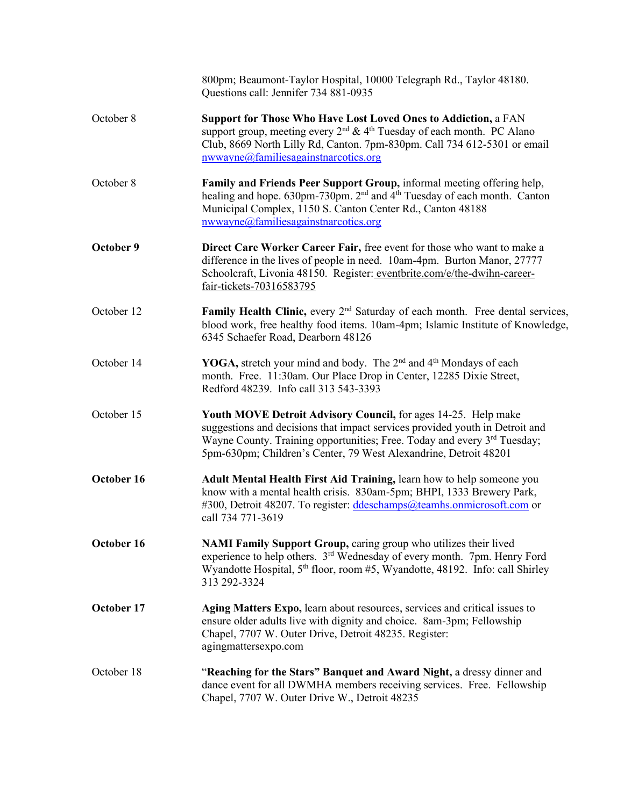|            | 800pm; Beaumont-Taylor Hospital, 10000 Telegraph Rd., Taylor 48180.<br>Questions call: Jennifer 734 881-0935                                                                                                                                                                                                      |
|------------|-------------------------------------------------------------------------------------------------------------------------------------------------------------------------------------------------------------------------------------------------------------------------------------------------------------------|
| October 8  | Support for Those Who Have Lost Loved Ones to Addiction, a FAN<br>support group, meeting every 2 <sup>nd</sup> & 4 <sup>th</sup> Tuesday of each month. PC Alano<br>Club, 8669 North Lilly Rd, Canton. 7pm-830pm. Call 734 612-5301 or email<br>nwwayne@familiesagainstnarcotics.org                              |
| October 8  | Family and Friends Peer Support Group, informal meeting offering help,<br>healing and hope. 630pm-730pm. 2 <sup>nd</sup> and 4 <sup>th</sup> Tuesday of each month. Canton<br>Municipal Complex, 1150 S. Canton Center Rd., Canton 48188<br>nwwayne@familiesagainstnarcotics.org                                  |
| October 9  | Direct Care Worker Career Fair, free event for those who want to make a<br>difference in the lives of people in need. 10am-4pm. Burton Manor, 27777<br>Schoolcraft, Livonia 48150. Register: eventbrite.com/e/the-dwihn-career-<br>fair-tickets-70316583795                                                       |
| October 12 | Family Health Clinic, every 2 <sup>nd</sup> Saturday of each month. Free dental services,<br>blood work, free healthy food items. 10am-4pm; Islamic Institute of Knowledge,<br>6345 Schaefer Road, Dearborn 48126                                                                                                 |
| October 14 | YOGA, stretch your mind and body. The 2 <sup>nd</sup> and 4 <sup>th</sup> Mondays of each<br>month. Free. 11:30am. Our Place Drop in Center, 12285 Dixie Street,<br>Redford 48239. Info call 313 543-3393                                                                                                         |
| October 15 | <b>Youth MOVE Detroit Advisory Council, for ages 14-25. Help make</b><br>suggestions and decisions that impact services provided youth in Detroit and<br>Wayne County. Training opportunities; Free. Today and every 3 <sup>rd</sup> Tuesday;<br>5pm-630pm; Children's Center, 79 West Alexandrine, Detroit 48201 |
| October 16 | Adult Mental Health First Aid Training, learn how to help someone you<br>know with a mental health crisis. 830am-5pm; BHPI, 1333 Brewery Park,<br>#300, Detroit 48207. To register: ddeschamps@teamhs.onmicrosoft.com or<br>call 734 771-3619                                                                     |
| October 16 | NAMI Family Support Group, caring group who utilizes their lived<br>experience to help others. 3 <sup>rd</sup> Wednesday of every month. 7pm. Henry Ford<br>Wyandotte Hospital, 5 <sup>th</sup> floor, room #5, Wyandotte, 48192. Info: call Shirley<br>313 292-3324                                              |
| October 17 | Aging Matters Expo, learn about resources, services and critical issues to<br>ensure older adults live with dignity and choice. 8am-3pm; Fellowship<br>Chapel, 7707 W. Outer Drive, Detroit 48235. Register:<br>agingmattersexpo.com                                                                              |
| October 18 | "Reaching for the Stars" Banquet and Award Night, a dressy dinner and<br>dance event for all DWMHA members receiving services. Free. Fellowship<br>Chapel, 7707 W. Outer Drive W., Detroit 48235                                                                                                                  |